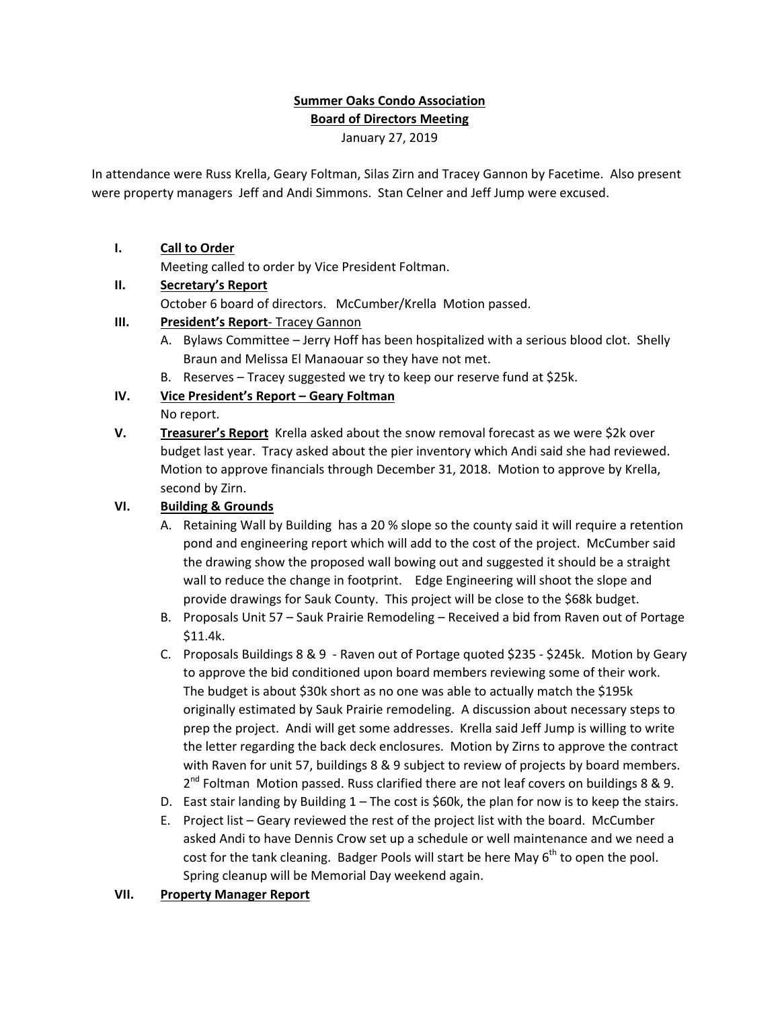# **Summer Oaks Condo Association Board of Directors Meeting**

January 27, 2019

In attendance were Russ Krella, Geary Foltman, Silas Zirn and Tracey Gannon by Facetime. Also present were property managers Jeff and Andi Simmons. Stan Celner and Jeff Jump were excused.

#### **I. Call to Order**

Meeting called to order by Vice President Foltman.

#### **II. Secretary's Report**

October 6 board of directors. McCumber/Krella Motion passed.

# **III. President's Report**‐ Tracey Gannon

- A. Bylaws Committee Jerry Hoff has been hospitalized with a serious blood clot. Shelly Braun and Melissa El Manaouar so they have not met.
- B. Reserves Tracey suggested we try to keep our reserve fund at \$25k.

# **IV. Vice President's Report – Geary Foltman**

No report.

**V. Treasurer's Report** Krella asked about the snow removal forecast as we were \$2k over budget last year. Tracy asked about the pier inventory which Andi said she had reviewed. Motion to approve financials through December 31, 2018. Motion to approve by Krella, second by Zirn.

### **VI. Building & Grounds**

- A. Retaining Wall by Building has a 20 % slope so the county said it will require a retention pond and engineering report which will add to the cost of the project. McCumber said the drawing show the proposed wall bowing out and suggested it should be a straight wall to reduce the change in footprint. Edge Engineering will shoot the slope and provide drawings for Sauk County. This project will be close to the \$68k budget.
- B. Proposals Unit 57 Sauk Prairie Remodeling Received a bid from Raven out of Portage \$11.4k.
- C. Proposals Buildings 8 & 9 ‐ Raven out of Portage quoted \$235 ‐ \$245k. Motion by Geary to approve the bid conditioned upon board members reviewing some of their work. The budget is about \$30k short as no one was able to actually match the \$195k originally estimated by Sauk Prairie remodeling. A discussion about necessary steps to prep the project. Andi will get some addresses. Krella said Jeff Jump is willing to write the letter regarding the back deck enclosures. Motion by Zirns to approve the contract with Raven for unit 57, buildings 8 & 9 subject to review of projects by board members.  $2^{nd}$  Foltman Motion passed. Russ clarified there are not leaf covers on buildings 8 & 9.
- D. East stair landing by Building 1 The cost is \$60k, the plan for now is to keep the stairs.
- E. Project list Geary reviewed the rest of the project list with the board. McCumber asked Andi to have Dennis Crow set up a schedule or well maintenance and we need a cost for the tank cleaning. Badger Pools will start be here May  $6<sup>th</sup>$  to open the pool. Spring cleanup will be Memorial Day weekend again.

#### **VII. Property Manager Report**